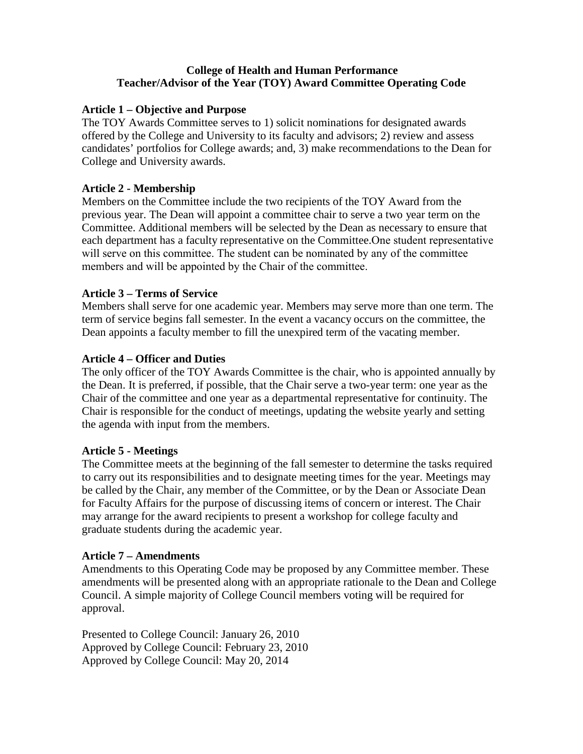## **College of Health and Human Performance Teacher/Advisor of the Year (TOY) Award Committee Operating Code**

## **Article 1 – Objective and Purpose**

The TOY Awards Committee serves to 1) solicit nominations for designated awards offered by the College and University to its faculty and advisors; 2) review and assess candidates' portfolios for College awards; and, 3) make recommendations to the Dean for College and University awards.

## **Article 2 - Membership**

Members on the Committee include the two recipients of the TOY Award from the previous year. The Dean will appoint a committee chair to serve a two year term on the Committee. Additional members will be selected by the Dean as necessary to ensure that each department has a faculty representative on the Committee.One student representative will serve on this committee. The student can be nominated by any of the committee members and will be appointed by the Chair of the committee.

# **Article 3 – Terms of Service**

Members shall serve for one academic year. Members may serve more than one term. The term of service begins fall semester. In the event a vacancy occurs on the committee, the Dean appoints a faculty member to fill the unexpired term of the vacating member.

### **Article 4 – Officer and Duties**

The only officer of the TOY Awards Committee is the chair, who is appointed annually by the Dean. It is preferred, if possible, that the Chair serve a two-year term: one year as the Chair of the committee and one year as a departmental representative for continuity. The Chair is responsible for the conduct of meetings, updating the website yearly and setting the agenda with input from the members.

### **Article 5 - Meetings**

The Committee meets at the beginning of the fall semester to determine the tasks required to carry out its responsibilities and to designate meeting times for the year. Meetings may be called by the Chair, any member of the Committee, or by the Dean or Associate Dean for Faculty Affairs for the purpose of discussing items of concern or interest. The Chair may arrange for the award recipients to present a workshop for college faculty and graduate students during the academic year.

### **Article 7 – Amendments**

Amendments to this Operating Code may be proposed by any Committee member. These amendments will be presented along with an appropriate rationale to the Dean and College Council. A simple majority of College Council members voting will be required for approval.

Presented to College Council: January 26, 2010 Approved by College Council: February 23, 2010 Approved by College Council: May 20, 2014